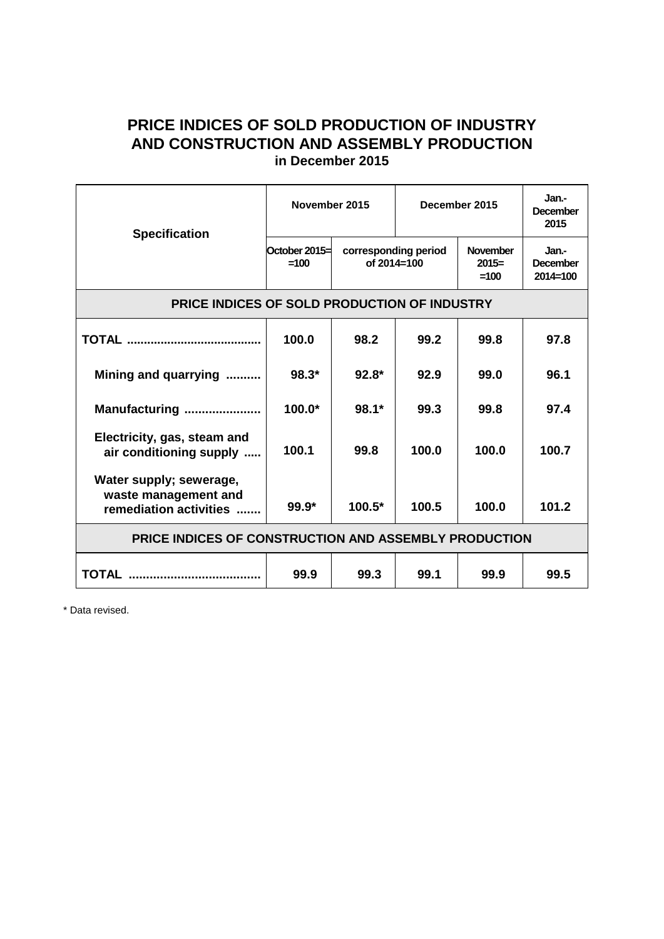## **PRICE INDICES OF SOLD PRODUCTION OF INDUSTRY AND CONSTRUCTION AND ASSEMBLY PRODUCTION in December 2015**

| <b>Specification</b>                                                      | November 2015           |                                     | December 2015 |                                      | Jan.-<br><b>December</b><br>2015         |
|---------------------------------------------------------------------------|-------------------------|-------------------------------------|---------------|--------------------------------------|------------------------------------------|
|                                                                           | October 2015=<br>$=100$ | corresponding period<br>of 2014=100 |               | <b>November</b><br>$2015=$<br>$=100$ | Jan.-<br><b>December</b><br>$2014 = 100$ |
| PRICE INDICES OF SOLD PRODUCTION OF INDUSTRY                              |                         |                                     |               |                                      |                                          |
|                                                                           | 100.0                   | 98.2                                | 99.2          | 99.8                                 | 97.8                                     |
| Mining and quarrying                                                      | $98.3*$                 | $92.8*$                             | 92.9          | 99.0                                 | 96.1                                     |
| Manufacturing                                                             | $100.0*$                | $98.1*$                             | 99.3          | 99.8                                 | 97.4                                     |
| Electricity, gas, steam and<br>air conditioning supply                    | 100.1                   | 99.8                                | 100.0         | 100.0                                | 100.7                                    |
| Water supply; sewerage,<br>waste management and<br>remediation activities | $99.9*$                 | 100.5*                              | 100.5         | 100.0                                | 101.2                                    |
| PRICE INDICES OF CONSTRUCTION AND ASSEMBLY PRODUCTION                     |                         |                                     |               |                                      |                                          |
| <b>TOTAL</b>                                                              | 99.9                    | 99.3                                | 99.1          | 99.9                                 | 99.5                                     |

\* Data revised.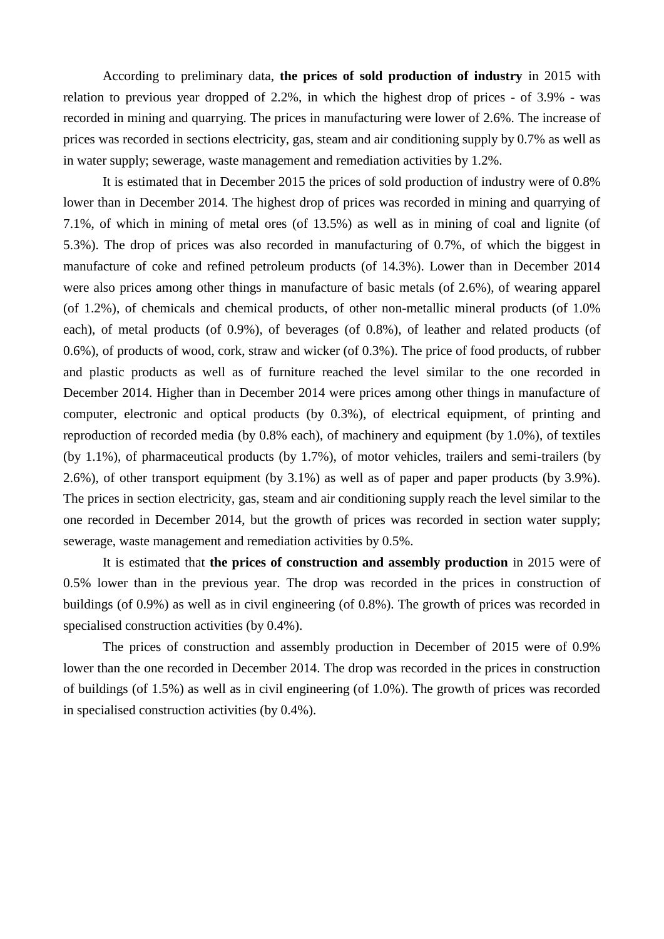According to preliminary data, **the prices of sold production of industry** in 2015 with relation to previous year dropped of 2.2%, in which the highest drop of prices - of 3.9% - was recorded in mining and quarrying. The prices in manufacturing were lower of 2.6%. The increase of prices was recorded in sections electricity, gas, steam and air conditioning supply by 0.7% as well as in water supply; sewerage, waste management and remediation activities by 1.2%.

It is estimated that in December 2015 the prices of sold production of industry were of 0.8% lower than in December 2014. The highest drop of prices was recorded in mining and quarrying of 7.1%, of which in mining of metal ores (of 13.5%) as well as in mining of coal and lignite (of 5.3%). The drop of prices was also recorded in manufacturing of 0.7%, of which the biggest in manufacture of coke and refined petroleum products (of 14.3%). Lower than in December 2014 were also prices among other things in manufacture of basic metals (of 2.6%), of wearing apparel (of 1.2%), of chemicals and chemical products, of other non-metallic mineral products (of 1.0% each), of metal products (of 0.9%), of beverages (of 0.8%), of leather and related products (of 0.6%), of products of wood, cork, straw and wicker (of 0.3%). The price of food products, of rubber and plastic products as well as of furniture reached the level similar to the one recorded in December 2014. Higher than in December 2014 were prices among other things in manufacture of computer, electronic and optical products (by 0.3%), of electrical equipment, of printing and reproduction of recorded media (by 0.8% each), of machinery and equipment (by 1.0%), of textiles (by 1.1%), of pharmaceutical products (by 1.7%), of motor vehicles, trailers and semi-trailers (by 2.6%), of other transport equipment (by 3.1%) as well as of paper and paper products (by 3.9%). The prices in section electricity, gas, steam and air conditioning supply reach the level similar to the one recorded in December 2014, but the growth of prices was recorded in section water supply; sewerage, waste management and remediation activities by 0.5%.

It is estimated that **the prices of construction and assembly production** in 2015 were of 0.5% lower than in the previous year. The drop was recorded in the prices in construction of buildings (of 0.9%) as well as in civil engineering (of 0.8%). The growth of prices was recorded in specialised construction activities (by 0.4%).

The prices of construction and assembly production in December of 2015 were of 0.9% lower than the one recorded in December 2014. The drop was recorded in the prices in construction of buildings (of 1.5%) as well as in civil engineering (of 1.0%). The growth of prices was recorded in specialised construction activities (by 0.4%).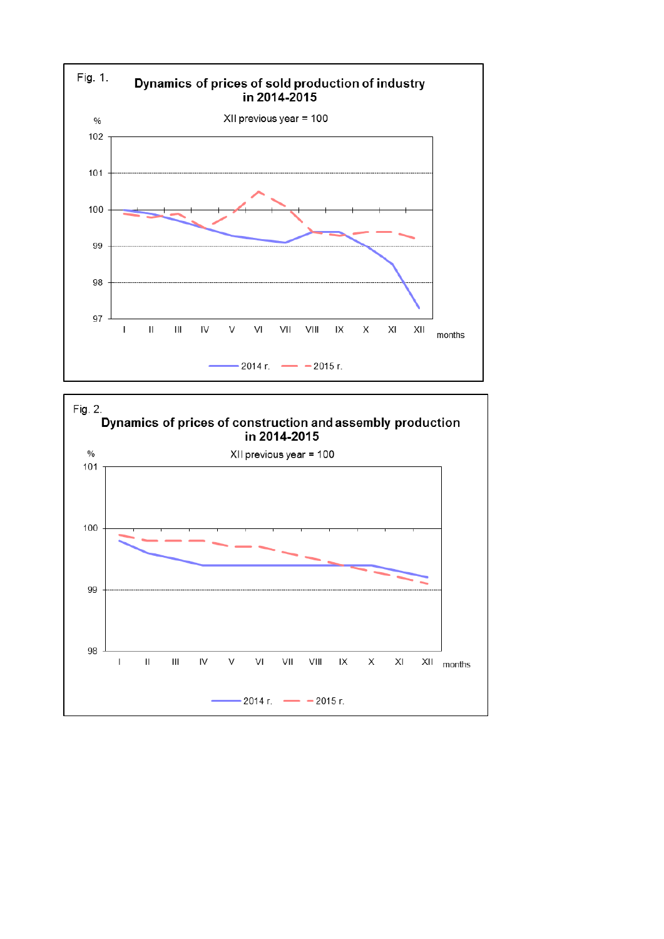